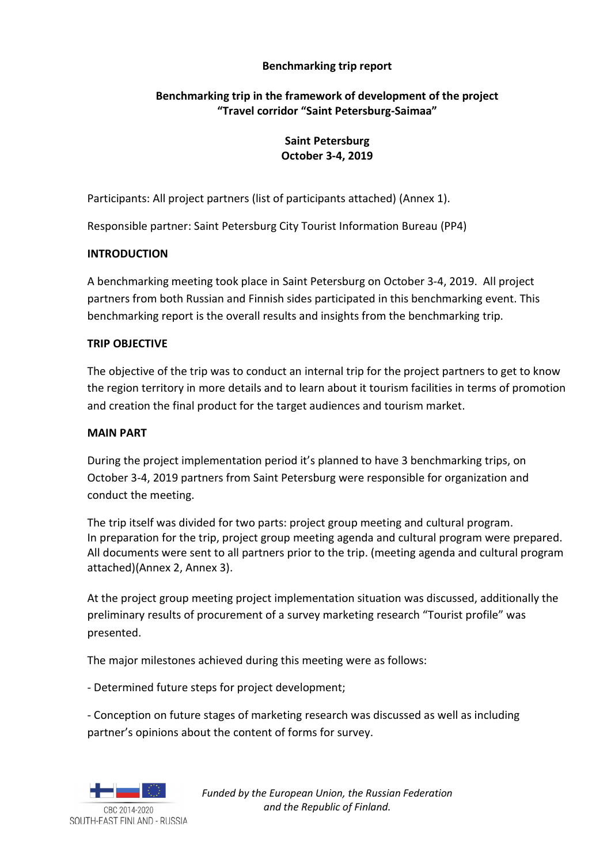## Benchmarking trip report

## Benchmarking trip in the framework of development of the project "Travel corridor "Saint Petersburg-Saimaa"

## Saint Petersburg October 3-4, 2019

Participants: All project partners (list of participants attached) (Annex 1).

Responsible partner: Saint Petersburg City Tourist Information Bureau (PP4)

# **INTRODUCTION**

A benchmarking meeting took place in Saint Petersburg on October 3-4, 2019. All project partners from both Russian and Finnish sides participated in this benchmarking event. This benchmarking report is the overall results and insights from the benchmarking trip.

# TRIP OBJECTIVE

The objective of the trip was to conduct an internal trip for the project partners to get to know the region territory in more details and to learn about it tourism facilities in terms of promotion and creation the final product for the target audiences and tourism market.

## MAIN PART

During the project implementation period it's planned to have 3 benchmarking trips, on October 3-4, 2019 partners from Saint Petersburg were responsible for organization and conduct the meeting.

The trip itself was divided for two parts: project group meeting and cultural program. In preparation for the trip, project group meeting agenda and cultural program were prepared. All documents were sent to all partners prior to the trip. (meeting agenda and cultural program attached)(Annex 2, Annex 3).

At the project group meeting project implementation situation was discussed, additionally the preliminary results of procurement of a survey marketing research "Tourist profile" was presented.

The major milestones achieved during this meeting were as follows:

- Determined future steps for project development;

- Conception on future stages of marketing research was discussed as well as including partner's opinions about the content of forms for survey.



Funded by the European Union, the Russian Federation and the Republic of Finland.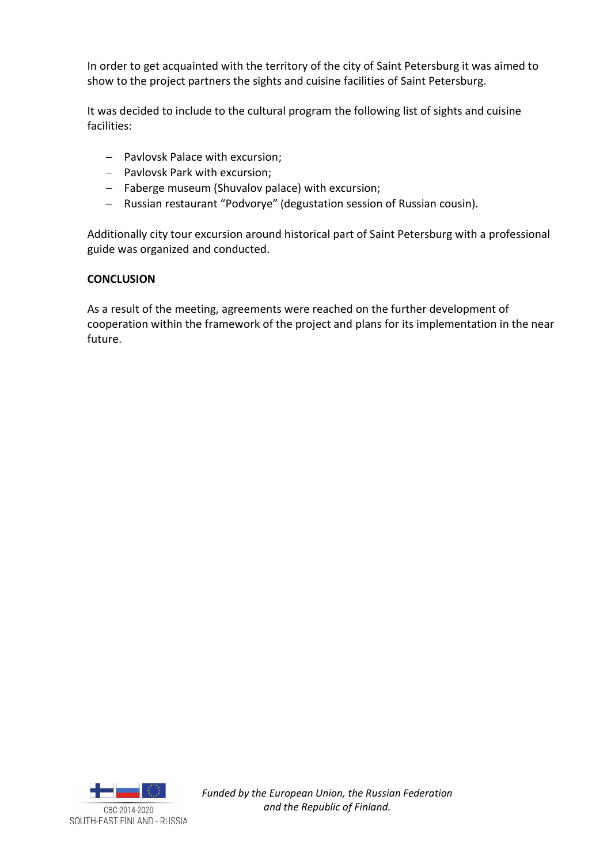In order to get acquainted with the territory of the city of Saint Petersburg it was aimed to show to the project partners the sights and cuisine facilities of Saint Petersburg.

It was decided to include to the cultural program the following list of sights and cuisine facilities:

- Pavlovsk Palace with excursion;
- Pavlovsk Park with excursion;
- Faberge museum (Shuvalov palace) with excursion;
- Russian restaurant "Podvorye" (degustation session of Russian cousin).

Additionally city tour excursion around historical part of Saint Petersburg with a professional guide was organized and conducted.

## **CONCLUSION**

As a result of the meeting, agreements were reached on the further development of cooperation within the framework of the project and plans for its implementation in the near future.



Funded by the European Union, the Russian Federation and the Republic of Finland.